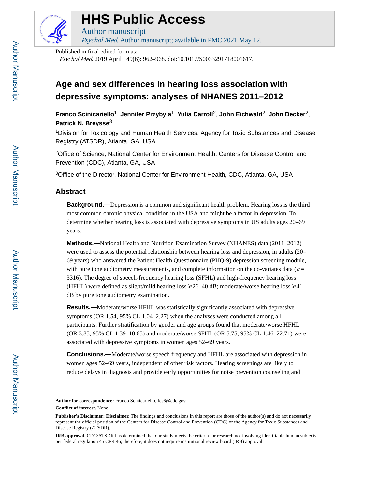

## **HHS Public Access**

Author manuscript Psychol Med. Author manuscript; available in PMC 2021 May 12.

Published in final edited form as:

Psychol Med. 2019 April ; 49(6): 962–968. doi:10.1017/S0033291718001617.

### **Age and sex differences in hearing loss association with depressive symptoms: analyses of NHANES 2011–2012**

**Franco Scinicariello**1, **Jennifer Przybyla**1, **Yulia Carroll**2, **John Eichwald**2, **John Decker**2, **Patrick N. Breysse**<sup>3</sup>

<sup>1</sup>Division for Toxicology and Human Health Services, Agency for Toxic Substances and Disease Registry (ATSDR), Atlanta, GA, USA

<sup>2</sup>Office of Science, National Center for Environment Health, Centers for Disease Control and Prevention (CDC), Atlanta, GA, USA

<sup>3</sup>Office of the Director, National Center for Environment Health, CDC, Atlanta, GA, USA

#### **Abstract**

**Background.—**Depression is a common and significant health problem. Hearing loss is the third most common chronic physical condition in the USA and might be a factor in depression. To determine whether hearing loss is associated with depressive symptoms in US adults ages 20–69 years.

**Methods.—**National Health and Nutrition Examination Survey (NHANES) data (2011–2012) were used to assess the potential relationship between hearing loss and depression, in adults (20– 69 years) who answered the Patient Health Questionnaire (PHQ-9) depression screening module, with pure tone audiometry measurements, and complete information on the co-variates data ( $n =$ 3316). The degree of speech-frequency hearing loss (SFHL) and high-frequency hearing loss (HFHL) were defined as slight/mild hearing loss  $\geq 26-40$  dB; moderate/worse hearing loss  $\geq 41$ dB by pure tone audiometry examination.

**Results.—**Moderate/worse HFHL was statistically significantly associated with depressive symptoms (OR 1.54, 95% CL 1.04–2.27) when the analyses were conducted among all participants. Further stratification by gender and age groups found that moderate/worse HFHL (OR 3.85, 95% CL 1.39–10.65) and moderate/worse SFHL (OR 5.75, 95% CL 1.46–22.71) were associated with depressive symptoms in women ages 52–69 years.

**Conclusions.—**Moderate/worse speech frequency and HFHL are associated with depression in women ages 52–69 years, independent of other risk factors. Hearing screenings are likely to reduce delays in diagnosis and provide early opportunities for noise prevention counseling and

**Author for correspondence:** Franco Scinicariello, fes6@cdc.gov.

**Conflict of interest.** None.

**Publisher's Disclaimer: Disclaimer.** The findings and conclusions in this report are those of the author(s) and do not necessarily represent the official position of the Centers for Disease Control and Prevention (CDC) or the Agency for Toxic Substances and Disease Registry (ATSDR).

**IRB approval.** CDC/ATSDR has determined that our study meets the criteria for research not involving identifiable human subjects per federal regulation 45 CFR 46; therefore, it does not require institutional review board (IRB) approval.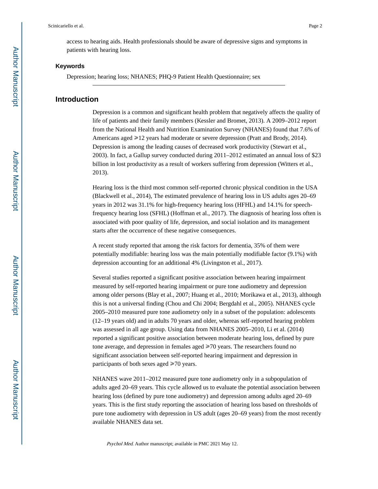access to hearing aids. Health professionals should be aware of depressive signs and symptoms in patients with hearing loss.

#### **Keywords**

Depression; hearing loss; NHANES; PHQ-9 Patient Health Questionnaire; sex

#### **Introduction**

Depression is a common and significant health problem that negatively affects the quality of life of patients and their family members (Kessler and Bromet, 2013). A 2009–2012 report from the National Health and Nutrition Examination Survey (NHANES) found that 7.6% of Americans aged  $\geq 12$  years had moderate or severe depression (Pratt and Brody, 2014). Depression is among the leading causes of decreased work productivity (Stewart et al., 2003). In fact, a Gallup survey conducted during 2011–2012 estimated an annual loss of \$23 billion in lost productivity as a result of workers suffering from depression (Witters et al., 2013).

Hearing loss is the third most common self-reported chronic physical condition in the USA (Blackwell et al., 2014), The estimated prevalence of hearing loss in US adults ages 20–69 years in 2012 was 31.1% for high-frequency hearing loss (HFHL) and 14.1% for speechfrequency hearing loss (SFHL) (Hoffman et al., 2017). The diagnosis of hearing loss often is associated with poor quality of life, depression, and social isolation and its management starts after the occurrence of these negative consequences.

A recent study reported that among the risk factors for dementia, 35% of them were potentially modifiable: hearing loss was the main potentially modifiable factor (9.1%) with depression accounting for an additional 4% (Livingston et al., 2017).

Several studies reported a significant positive association between hearing impairment measured by self-reported hearing impairment or pure tone audiometry and depression among older persons (Blay et al., 2007; Huang et al., 2010; Morikawa et al., 2013), although this is not a universal finding (Chou and Chi 2004; Bergdahl et al., 2005). NHANES cycle 2005–2010 measured pure tone audiometry only in a subset of the population: adolescents (12–19 years old) and in adults 70 years and older, whereas self-reported hearing problem was assessed in all age group. Using data from NHANES 2005–2010, Li et al. (2014) reported a significant positive association between moderate hearing loss, defined by pure tone average, and depression in females aged  $\geq 70$  years. The researchers found no significant association between self-reported hearing impairment and depression in participants of both sexes aged  $\geq 70$  years.

NHANES wave 2011–2012 measured pure tone audiometry only in a subpopulation of adults aged 20–69 years. This cycle allowed us to evaluate the potential association between hearing loss (defined by pure tone audiometry) and depression among adults aged 20–69 years. This is the first study reporting the association of hearing loss based on thresholds of pure tone audiometry with depression in US adult (ages 20–69 years) from the most recently available NHANES data set.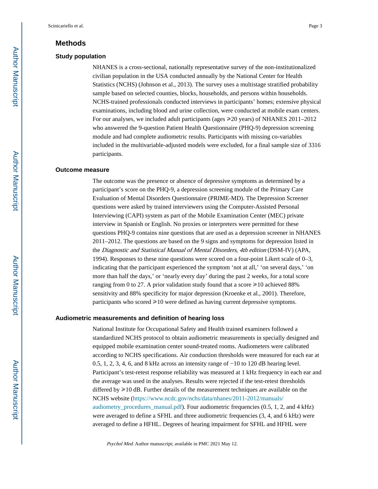#### **Methods**

#### **Study population**

NHANES is a cross-sectional, nationally representative survey of the non-institutionalized civilian population in the USA conducted annually by the National Center for Health Statistics (NCHS) (Johnson et al., 2013). The survey uses a multistage stratified probability sample based on selected counties, blocks, households, and persons within households. NCHS-trained professionals conducted interviews in participants' homes; extensive physical examinations, including blood and urine collection, were conducted at mobile exam centers. For our analyses, we included adult participants (ages  $\geq$  20 years) of NHANES 2011–2012 who answered the 9-question Patient Health Questionnaire (PHQ-9) depression screening module and had complete audiometric results. Participants with missing co-variables included in the multivariable-adjusted models were excluded, for a final sample size of 3316 participants.

#### **Outcome measure**

The outcome was the presence or absence of depressive symptoms as determined by a participant's score on the PHQ-9, a depression screening module of the Primary Care Evaluation of Mental Disorders Questionnaire (PRIME-MD). The Depression Screener questions were asked by trained interviewers using the Computer-Assisted Personal Interviewing (CAPI) system as part of the Mobile Examination Center (MEC) private interview in Spanish or English. No proxies or interpreters were permitted for these questions PHQ-9 contains nine questions that are used as a depression screener in NHANES 2011–2012. The questions are based on the 9 signs and symptoms for depression listed in the Diagnostic and Statistical Manual of Mental Disorders, 4th edition (DSM-IV) (APA, 1994). Responses to these nine questions were scored on a four-point Likert scale of 0–3, indicating that the participant experienced the symptom 'not at all,' 'on several days,' 'on more than half the days,' or 'nearly every day' during the past 2 weeks, for a total score ranging from 0 to 27. A prior validation study found that a score  $\geq 10$  achieved 88% sensitivity and 88% specificity for major depression (Kroenke et al., 2001). Therefore, participants who scored  $\geq 10$  were defined as having current depressive symptoms.

#### **Audiometric measurements and definition of hearing loss**

National Institute for Occupational Safety and Health trained examiners followed a standardized NCHS protocol to obtain audiometric measurements in specially designed and equipped mobile examination center sound-treated rooms. Audiometers were calibrated according to NCHS specifications. Air conduction thresholds were measured for each ear at 0.5, 1, 2, 3, 4, 6, and 8 kHz across an intensity range of −10 to 120 dB hearing level. Participant's test-retest response reliability was measured at 1 kHz frequency in each ear and the average was used in the analyses. Results were rejected if the test-retest thresholds differed by  $\geq 10$  dB. Further details of the measurement techniques are available on the NCHS website ([https://www.ncdc.gov/nchs/data/nhanes/2011-2012/manuals/](https://www.ncdc.gov/nchs/data/nhanes/2011-2012/manuals/audiometry_procedures_manual.pdf) [audiometry\\_procedures\\_manual.pdf\)](https://www.ncdc.gov/nchs/data/nhanes/2011-2012/manuals/audiometry_procedures_manual.pdf). Four audiometric frequencies (0.5, 1, 2, and 4 kHz) were averaged to define a SFHL and three audiometric frequencies (3, 4, and 6 kHz) were averaged to define a HFHL. Degrees of hearing impairment for SFHL and HFHL were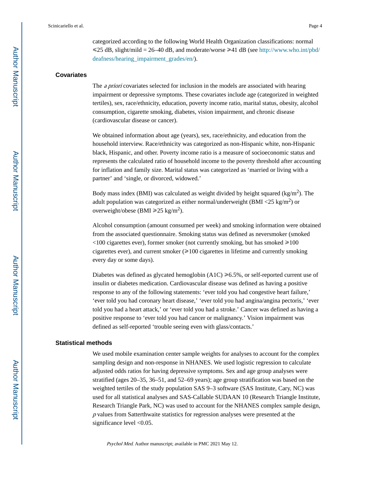categorized according to the following World Health Organization classifications: normal  $\leq$ 25 dB, slight/mild = 26–40 dB, and moderate/worse  $\geq$ 41 dB (see [http://www.who.int/pbd/](http://www.who.int/pbd/deafness/hearing_impairment_grades/en/) [deafness/hearing\\_impairment\\_grades/en/](http://www.who.int/pbd/deafness/hearing_impairment_grades/en/)).

#### **Covariates**

The a priori covariates selected for inclusion in the models are associated with hearing impairment or depressive symptoms. These covariates include age (categorized in weighted tertiles), sex, race/ethnicity, education, poverty income ratio, marital status, obesity, alcohol consumption, cigarette smoking, diabetes, vision impairment, and chronic disease (cardiovascular disease or cancer).

We obtained information about age (years), sex, race/ethnicity, and education from the household interview. Race/ethnicity was categorized as non-Hispanic white, non-Hispanic black, Hispanic, and other. Poverty income ratio is a measure of socioeconomic status and represents the calculated ratio of household income to the poverty threshold after accounting for inflation and family size. Marital status was categorized as 'married or living with a partner' and 'single, or divorced, widowed.'

Body mass index (BMI) was calculated as weight divided by height squared ( $\text{kg/m}^2$ ). The adult population was categorized as either normal/underweight (BMI <25 kg/m<sup>2</sup>) or overweight/obese (BMI  $\geq 25$  kg/m<sup>2</sup>).

Alcohol consumption (amount consumed per week) and smoking information were obtained from the associated questionnaire. Smoking status was defined as neversmoker (smoked  $\leq$ 100 cigarettes ever), former smoker (not currently smoking, but has smoked  $\geq$ 100 cigarettes ever), and current smoker  $(\geq 100$  cigarettes in lifetime and currently smoking every day or some days).

Diabetes was defined as glycated hemoglobin  $(AIC) \ge 6.5\%$ , or self-reported current use of insulin or diabetes medication. Cardiovascular disease was defined as having a positive response to any of the following statements: 'ever told you had congestive heart failure,' 'ever told you had coronary heart disease,' 'ever told you had angina/angina pectoris,' 'ever told you had a heart attack,' or 'ever told you had a stroke.' Cancer was defined as having a positive response to 'ever told you had cancer or malignancy.' Vision impairment was defined as self-reported 'trouble seeing even with glass/contacts.'

#### **Statistical methods**

We used mobile examination center sample weights for analyses to account for the complex sampling design and non-response in NHANES. We used logistic regression to calculate adjusted odds ratios for having depressive symptoms. Sex and age group analyses were stratified (ages 20–35, 36–51, and 52–69 years); age group stratification was based on the weighted tertiles of the study population SAS 9–3 software (SAS Institute, Cary, NC) was used for all statistical analyses and SAS-Callable SUDAAN 10 (Research Triangle Institute, Research Triangle Park, NC) was used to account for the NHANES complex sample design, <sup>p</sup> values from Satterthwaite statistics for regression analyses were presented at the significance level <0.05.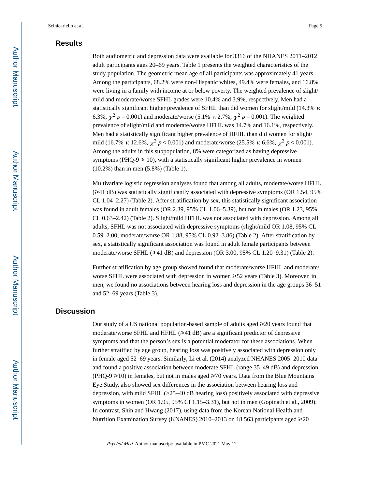#### **Results**

Both audiometric and depression data were available for 3316 of the NHANES 2011–2012 adult participants ages 20–69 years. Table 1 presents the weighted characteristics of the study population. The geometric mean age of all participants was approximately 41 years. Among the participants, 68.2% were non-Hispanic whites, 49.4% were females, and 16.8% were living in a family with income at or below poverty. The weighted prevalence of slight/ mild and moderate/worse SFHL grades were 10.4% and 3.9%, respectively. Men had a statistically significant higher prevalence of SFHL than did women for slight/mild (14.3% v. 6.3%,  $\chi^2$  p = 0.001) and moderate/worse (5.1% v. 2.7%,  $\chi^2$  p = 0.001). The weighted prevalence of slight/mild and moderate/worse HFHL was 14.7% and 16.1%, respectively. Men had a statistically significant higher prevalence of HFHL than did women for slight/ mild (16.7% v. 12.6%,  $\chi^2 p < 0.001$ ) and moderate/worse (25.5% v. 6.6%,  $\chi^2 p < 0.001$ ). Among the adults in this subpopulation, 8% were categorized as having depressive symptoms (PHQ-9  $\ge$  10), with a statistically significant higher prevalence in women (10.2%) than in men (5.8%) (Table 1).

Multivariate logistic regression analyses found that among all adults, moderate/worse HFHL  $(\geq 41$  dB) was statistically significantly associated with depressive symptoms (OR 1.54, 95%) CL 1.04–2.27) (Table 2). After stratification by sex, this statistically significant association was found in adult females (OR 2.39, 95% CL 1.06–5.39), but not in males (OR 1.23, 95% CL 0.63–2.42) (Table 2). Slight/mild HFHL was not associated with depression. Among all adults, SFHL was not associated with depressive symptoms (slight/mild OR 1.08, 95% CL 0.59–2.00; moderate/worse OR 1.88, 95% CL 0.92–3.86) (Table 2). After stratification by sex, a statistically significant association was found in adult female participants between moderate/worse SFHL  $(\geq 41 \text{ dB})$  and depression (OR 3.00, 95% CL 1.20–9.31) (Table 2).

Further stratification by age group showed found that moderate/worse HFHL and moderate/ worse SFHL were associated with depression in women  $\geq 52$  years (Table 3). Moreover, in men, we found no associations between hearing loss and depression in the age groups 36–51 and 52–69 years (Table 3).

#### **Discussion**

Our study of a US national population-based sample of adults aged  $\geq 20$  years found that moderate/worse SFHL and HFHL  $(\geq 41 \text{ dB})$  are a significant predictor of depressive symptoms and that the person's sex is a potential moderator for these associations. When further stratified by age group, hearing loss was positively associated with depression only in female aged 52–69 years. Similarly, Li et al. (2014) analyzed NHANES 2005–2010 data and found a positive association between moderate SFHL (range 35–49 dB) and depression (PHQ-9  $\geq$ 10) in females, but not in males aged  $\geq$ 70 years. Data from the Blue Mountains Eye Study, also showed sex differences in the association between hearing loss and depression, with mild SFHL (>25–40 dB hearing loss) positively associated with depressive symptoms in women (OR 1.95, 95% CI 1.15–3.31), but not in men (Gopinath et al., 2009). In contrast, Shin and Hwang (2017), using data from the Korean National Health and Nutrition Examination Survey (KNANES) 2010–2013 on 18 563 participants aged  $\geq 20$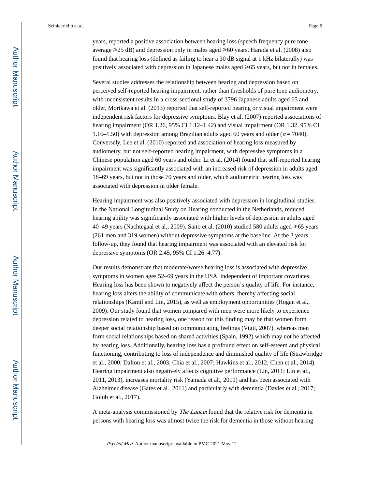years, reported a positive association between hearing loss (speech frequency pure tone average  $\geq 25$  dB) and depression only in males aged  $\geq 60$  years. Harada et al. (2008) also found that hearing loss (defined as failing to hear a 30 dB signal at 1 kHz bilaterally) was positively associated with depression in Japanese males aged  $\geq 65$  years, but not in females.

Several studies addresses the relationship between hearing and depression based on perceived self-reported hearing impairment, rather than thresholds of pure tone audiometry, with inconsistent results In a cross-sectional study of 3796 Japanese adults aged 65 and older, Morikawa et al. (2013) reported that self-reported hearing or visual impairment were independent risk factors for depressive symptoms. Blay et al. (2007) reported associations of hearing impairment (OR 1.26, 95% CI 1.12-1.42) and visual impairment (OR 1.32, 95% CI 1.16–1.50) with depression among Brazilian adults aged 60 years and older  $(n = 7040)$ . Conversely, Lee et al. (2010) reported and association of hearing loss measured by audiometry, but not self-reported hearing impairment, with depressive symptoms in a Chinese population aged 60 years and older. Li et al. (2014) found that self-reported hearing impairment was significantly associated with an increased risk of depression in adults aged 18–69 years, but not in those 70 years and older, which audiometric hearing loss was associated with depression in older female.

Hearing impairment was also positively associated with depression in longitudinal studies. In the National Longitudinal Study on Hearing conducted in the Netherlands, reduced hearing ability was significantly associated with higher levels of depression in adults aged 40–49 years (Nachtegaal et al., 2009). Saito et al. (2010) studied 580 adults aged  $\geq 65$  years (261 men and 319 women) without depressive symptoms at the baseline. At the 3 years follow-up, they found that hearing impairment was associated with an elevated risk for depressive symptoms (OR 2.45, 95% CI 1.26–4.77).

Our results demonstrate that moderate/worse hearing loss is associated with depressive symptoms in women ages 52–69 years in the USA, independent of important covariates. Hearing loss has been shown to negatively affect the person's quality of life. For instance, hearing loss alters the ability of communicate with others, thereby affecting social relationships (Kamil and Lin, 2015), as well as employment opportunities (Hogan et al., 2009). Our study found that women compared with men were more likely to experience depression related to hearing loss, one reason for this finding may be that women form deeper social relationship based on communicating feelings (Vigil, 2007), whereas men form social relationships based on shared activities (Spain, 1992) which may not be affected by hearing loss. Additionally, hearing loss has a profound effect on self-esteem and physical functioning, contributing to loss of independence and diminished quality of life (Strawbridge et al., 2000; Dalton et al., 2003; Chia et al., 2007; Hawkins et al., 2012; Chen et al., 2014). Hearing impairment also negatively affects cognitive performance (Lin, 2011; Lin et al., 2011, 2013), increases mortality risk (Yamada et al., 2011) and has been associated with Alzheimer disease (Gates et al., 2011) and particularly with dementia (Davies et al., 2017; Golub et al., 2017).

A meta-analysis commissioned by The Lancet found that the relative risk for dementia in persons with hearing loss was almost twice the risk for dementia in those without hearing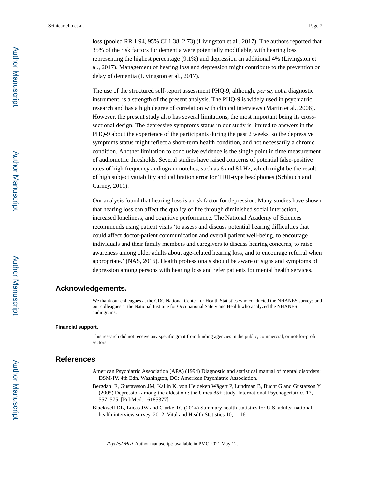loss (pooled RR 1.94, 95% CI 1.38–2.73) (Livingston et al., 2017). The authors reported that 35% of the risk factors for dementia were potentially modifiable, with hearing loss representing the highest percentage (9.1%) and depression an additional 4% (Livingston et al., 2017). Management of hearing loss and depression might contribute to the prevention or delay of dementia (Livingston et al., 2017).

The use of the structured self-report assessment PHQ-9, although, per se, not a diagnostic instrument, is a strength of the present analysis. The PHQ-9 is widely used in psychiatric research and has a high degree of correlation with clinical interviews (Martin et al., 2006). However, the present study also has several limitations, the most important being its crosssectional design. The depressive symptoms status in our study is limited to answers in the PHQ-9 about the experience of the participants during the past 2 weeks, so the depressive symptoms status might reflect a short-term health condition, and not necessarily a chronic condition. Another limitation to conclusive evidence is the single point in time measurement of audiometric thresholds. Several studies have raised concerns of potential false-positive rates of high frequency audiogram notches, such as 6 and 8 kHz, which might be the result of high subject variability and calibration error for TDH-type headphones (Schlauch and Carney, 2011).

Our analysis found that hearing loss is a risk factor for depression. Many studies have shown that hearing loss can affect the quality of life through diminished social interaction, increased loneliness, and cognitive performance. The National Academy of Sciences recommends using patient visits 'to assess and discuss potential hearing difficulties that could affect doctor-patient communication and overall patient well-being, to encourage individuals and their family members and caregivers to discuss hearing concerns, to raise awareness among older adults about age-related hearing loss, and to encourage referral when appropriate.' (NAS, 2016). Health professionals should be aware of signs and symptoms of depression among persons with hearing loss and refer patients for mental health services.

#### **Acknowledgements.**

We thank our colleagues at the CDC National Center for Health Statistics who conducted the NHANES surveys and our colleagues at the National Institute for Occupational Safety and Health who analyzed the NHANES audiograms.

#### **Financial support.**

This research did not receive any specific grant from funding agencies in the public, commercial, or not-for-profit sectors.

#### **References**

- American Psychiatric Association (APA) (1994) Diagnostic and statistical manual of mental disorders: DSM-IV. 4th Edn. Washington, DC: American Psychiatric Association.
- Bergdahl E, Gustavsson JM, Kallin K, von Heideken Wågert P, Lundman B, Bucht G and Gustafson Y (2005) Depression among the oldest old: the Umea 85+ study. International Psychogeriatrics 17, 557–575. [PubMed: 16185377]
- Blackwell DL, Lucas JW and Clarke TC (2014) Summary health statistics for U.S. adults: national health interview survey, 2012. Vital and Health Statistics 10, 1-161.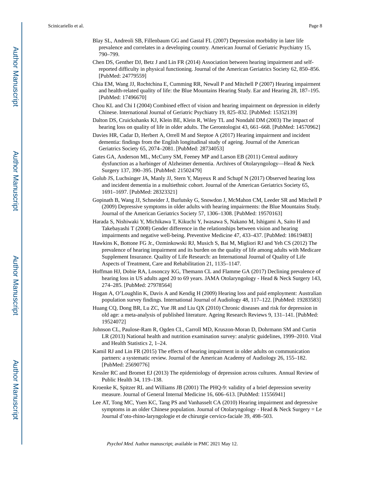Scinicariello et al. Page 8

- Blay SL, Andreoli SB, Fillenbaum GG and Gastal FL (2007) Depression morbidity in later life prevalence and correlates in a developing country. American Journal of Geriatric Psychiatry 15, 790–799.
- Chen DS, Genther DJ, Betz J and Lin FR (2014) Association between hearing impairment and selfreported difficulty in physical functioning. Journal of the American Geriatrics Society 62, 850–856. [PubMed: 24779559]
- Chia EM, Wang JJ, Rochtchina E, Cumming RR, Newall P and Mitchell P (2007) Hearing impairment and health-related quality of life: the Blue Mountains Hearing Study. Ear and Hearing 28, 187–195. [PubMed: 17496670]
- Chou KL and Chi I (2004) Combined effect of vision and hearing impairment on depression in elderly Chinese. International Journal of Geriatric Psychiatry 19, 825–832. [PubMed: 15352139]
- Dalton DS, Cruickshanks KJ, Klein BE, Klein R, Wiley TL and Nondahl DM (2003) The impact of hearing loss on quality of life in older adults. The Gerontologist 43, 661–668. [PubMed: 14570962]
- Davies HR, Cadar D, Herbert A, Orrell M and Steptoe A (2017) Hearing impairment and incident dementia: findings from the English longitudinal study of ageing. Journal of the American Geriatrics Society 65, 2074–2081. [PubMed: 28734053]
- Gates GA, Anderson ML, McCurry SM, Feeney MP and Larson EB (2011) Central auditory dysfunction as a harbinger of Alzheimer dementia. Archives of Otolaryngology—Head & Neck Surgery 137, 390–395. [PubMed: 21502479]
- Golub JS, Luchsinger JA, Manly JJ, Stern Y, Mayeux R and Schupf N (2017) Observed hearing loss and incident dementia in a multiethnic cohort. Journal of the American Geriatrics Society 65, 1691–1697. [PubMed: 28323321]
- Gopinath B, Wang JJ, Schneider J, Burlutsky G, Snowdon J, McMahon CM, Leeder SR and Mitchell P (2009) Depressive symptoms in older adults with hearing impairments: the Blue Mountains Study. Journal of the American Geriatrics Society 57, 1306–1308. [PubMed: 19570163]
- Harada S, Nishiwaki Y, Michikawa T, Kikuchi Y, Iwasawa S, Nakano M, Ishigami A, Saito H and Takebayashi T (2008) Gender difference in the relationships between vision and hearing impairments and negative well-being. Preventive Medicine 47, 433–437. [PubMed: 18619483]
- Hawkins K, Bottone FG Jr., Ozminkowski RJ, Musich S, Bai M, Migliori RJ and Yeh CS (2012) The prevalence of hearing impairment and its burden on the quality of life among adults with Medicare Supplement Insurance. Quality of Life Research: an International Journal of Quality of Life Aspects of Treatment, Care and Rehabilitation 21, 1135–1147.
- Hoffman HJ, Dobie RA, Losonczy KG, Themann CL and Flamme GA (2017) Declining prevalence of hearing loss in US adults aged 20 to 69 years. JAMA Otolaryngology - Head & Neck Surgery 143, 274–285. [PubMed: 27978564]
- Hogan A, O'Loughlin K, Davis A and Kendig H (2009) Hearing loss and paid employment: Australian population survey findings. International Journal of Audiology 48, 117–122. [PubMed: 19283583]
- Huang CQ, Dong BR, Lu ZC, Yue JR and Liu QX (2010) Chronic diseases and risk for depression in old age: a meta-analysis of published literature. Ageing Research Reviews 9, 131–141. [PubMed: 19524072]
- Johnson CL, Paulose-Ram R, Ogden CL, Carroll MD, Kruszon-Moran D, Dohrmann SM and Curtin LR (2013) National health and nutrition examination survey: analytic guidelines, 1999–2010. Vital and Health Statistics 2, 1–24.
- Kamil RJ and Lin FR (2015) The effects of hearing impairment in older adults on communication partners: a systematic review. Journal of the American Academy of Audiology 26, 155–182. [PubMed: 25690776]
- Kessler RC and Bromet EJ (2013) The epidemiology of depression across cultures. Annual Review of Public Health 34, 119–138.
- Kroenke K, Spitzer RL and Williams JB (2001) The PHQ-9: validity of a brief depression severity measure. Journal of General Internal Medicine 16, 606–613. [PubMed: 11556941]
- Lee AT, Tong MC, Yuen KC, Tang PS and Vanhasselt CA (2010) Hearing impairment and depressive symptoms in an older Chinese population. Journal of Otolaryngology - Head & Neck Surgery = Le Journal d'oto-rhino-laryngologie et de chirurgie cervico-faciale 39, 498–503.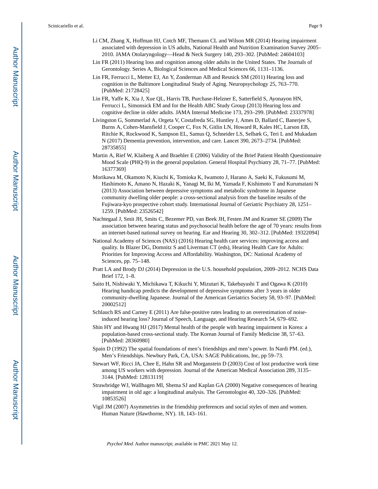- Li CM, Zhang X, Hoffman HJ, Cotch MF, Themann CL and Wilson MR (2014) Hearing impairment associated with depression in US adults, National Health and Nutrition Examination Survey 2005– 2010. JAMA Otolaryngology—Head & Neck Surgery 140, 293–302. [PubMed: 24604103]
- Lin FR (2011) Hearing loss and cognition among older adults in the United States. The Journals of Gerontology. Series A, Biological Sciences and Medical Sciences 66, 1131–1136.
- Lin FR, Ferrucci L, Metter EJ, An Y, Zonderman AB and Resnick SM (2011) Hearing loss and cognition in the Baltimore Longitudinal Study of Aging. Neuropsychology 25, 763–770. [PubMed: 21728425]
- Lin FR, Yaffe K, Xia J, Xue QL, Harris TB, Purchase-Helzner E, Satterfield S, Ayonayon HN, Ferrucci L, Simonsick EM and for the Health ABC Study Group (2013) Hearing loss and cognitive decline in older adults. JAMA Internal Medicine 173, 293–299. [PubMed: 23337978]
- Livingston G, Sommerlad A, Orgeta V, Costafreda SG, Huntley J, Ames D, Ballard C, Banerjee S, Burns A, Cohen-Mansfield J, Cooper C, Fox N, Gitlin LN, Howard R, Kales HC, Larson EB, Ritchie K, Rockwood K, Sampson EL, Samus Q, Schneider LS, Selbæk G, Teri L and Mukadam N (2017) Dementia prevention, intervention, and care. Lancet 390, 2673–2734. [PubMed: 28735855]
- Martin A, Rief W, Klaiberg A and Braehler E (2006) Validity of the Brief Patient Health Questionnaire Mood Scale (PHQ-9) in the general population. General Hospital Psychiatry 28, 71–77. [PubMed: 16377369]
- Morikawa M, Okamoto N, Kiuchi K, Tomioka K, Iwamoto J, Harano A, Saeki K, Fukusumi M, Hashimoto K, Amano N, Hazaki K, Yanagi M, Iki M, Yamada F, Kishimoto T and Kurumatani N (2013) Association between depressive symptoms and metabolic syndrome in Japanese community dwelling older people: a cross-sectional analysis from the baseline results of the Fujiwara-kyo prospective cohort study. International Journal of Geriatric Psychiatry 28, 1251– 1259. [PubMed: 23526542]
- Nachtegaal J, Smit JH, Smits C, Bezemer PD, van Beek JH, Festen JM and Kramer SE (2009) The association between hearing status and psychosocial health before the age of 70 years: results from an internet-based national survey on hearing. Ear and Hearing 30, 302–312. [PubMed: 19322094]
- National Academy of Sciences (NAS) (2016) Hearing health care services: improving access and quality. In Blazer DG, Domnitz S and Liverman CT (eds), Hearing Health Care for Adults: Priorities for Improving Access and Affordability. Washington, DC: National Academy of Sciences, pp. 75–148.
- Pratt LA and Brody DJ (2014) Depression in the U.S. household population, 2009–2012. NCHS Data Brief 172, 1–8.
- Saito H, Nishiwaki Y, Michikawa T, Kikuchi Y, Mizutari K, Takebayashi T and Ogawa K (2010) Hearing handicap predicts the development of depressive symptoms after 3 years in older community-dwelling Japanese. Journal of the American Geriatrics Society 58, 93–97. [PubMed: 20002512]
- Schlauch RS and Carney E (2011) Are false-positive rates leading to an overestimation of noiseinduced hearing loss? Journal of Speech, Language, and Hearing Research 54, 679–692.
- Shin HY and Hwang HJ (2017) Mental health of the people with hearing impairment in Korea: a population-based cross-sectional study. The Korean Journal of Family Medicine 38, 57–63. [PubMed: 28360980]
- Spain D (1992) The spatial foundations of men's friendships and men's power. In Nardi PM. (ed.), Men's Friendships. Newbury Park, CA, USA: SAGE Publications, Inc, pp 59–73.
- Stewart WF, Ricci JA, Chee E, Hahn SR and Morganstein D (2003) Cost of lost productive work time among US workers with depression. Journal of the American Medical Association 289, 3135– 3144. [PubMed: 12813119]
- Strawbridge WJ, Wallhagen MI, Shema SJ and Kaplan GA (2000) Negative consequences of hearing impairment in old age: a longitudinal analysis. The Gerontologist 40, 320–326. [PubMed: 10853526]
- Vigil JM (2007) Asymmetries in the friendship preferences and social styles of men and women. Human Nature (Hawthorne, NY). 18, 143–161.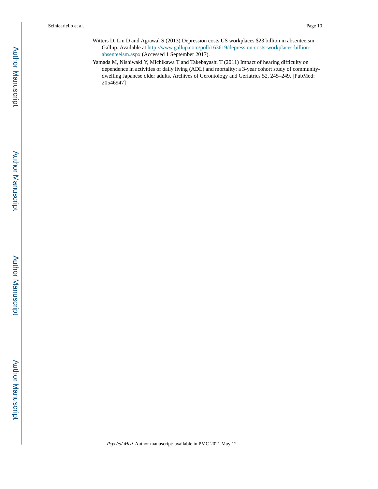- Witters D, Liu D and Agrawal S (2013) Depression costs US workplaces \$23 billion in absenteeism. Gallup. Available at [http://www.gallup.com/poll/163619/depression-costs-workplaces-billion](http://www.gallup.com/poll/163619/depression-costs-workplaces-billion-absenteeism.aspx)[absenteeism.aspx](http://www.gallup.com/poll/163619/depression-costs-workplaces-billion-absenteeism.aspx) (Accessed 1 September 2017).
- Yamada M, Nishiwaki Y, Michikawa T and Takebayashi T (2011) Impact of hearing difficulty on dependence in activities of daily living (ADL) and mortality: a 3-year cohort study of communitydwelling Japanese older adults. Archives of Gerontology and Geriatrics 52, 245–249. [PubMed: 20546947]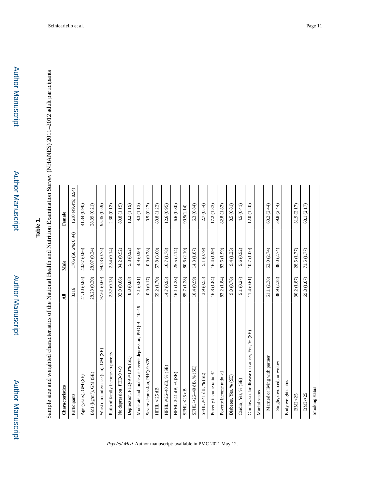# **Table 1.**

Sample size and weighted characteristics of the National Health and Nutrition Examination Survey (NHANES) 2011-2012 adult participants Sample size and weighted characteristics of the National Health and Nutrition Examination Survey (NHANES) 2011–2012 adult participants

| Characteristics                                        | ₹            | Male               | Female             |
|--------------------------------------------------------|--------------|--------------------|--------------------|
| Participants                                           | 3316         | 1706 (50.6%; 0.94) | 1610 (49.4%; 0.94) |
| Age (years), GM (SE)                                   | 41.10 (0.85) | 40.87 (0.86)       | 41.34 (0.90)       |
| BMI ( $kg/m2$ ), GM (SE)                               | 28.23 (0.20) | 28.07 (0.24)       | 28.39 (0.21)       |
| Waist circumference (cm), GM (SE)                      | 97.61 (0.60) | 99.73 (0.75)       | 95.45 (0.59)       |
| Ratio of family income-to-poverty                      | 2.32 (0.13)  | 2.34 (0.14)        | 2.30 (0.12)        |
| No depression, PHQ-9 ≤9                                | 92.0 (0.88)  | 94.2 (0.92)        | 89.8 (1.19)        |
| Depression, $PHQ-9 \ge 10\%$ (SE)                      | 8.0 (0.88)   | 5.8 (0.92)         | 10.2(1.19)         |
| Moderate and moderate severe depression, PHQ-9 = 10-19 | 7.1 (0.81)   | 4.9 (0.90)         | 9.3 (1.13)         |
| Severe depression, PHQ-9 <20                           | 0.9(0.17)    | 0.9(0.28)          | 0.9(0.27)          |
| HFHL $\leq 25$ dB                                      | 69.2 (1.70)  | 57.8 (3.00)        | 80.8 (1.22)        |
| HFHL $\geq 26-40$ dB, % (SE)                           | 14.7 (0.95)  | 16.7 (1.78)        | 12.6(0.95)         |
| $HFHL \geq 41 dB$ , % (SE)                             | 16.1 (1.23)  | 25.5 (2.14)        | 6.6(0.80)          |
| $SFHL \leq 25 dB$                                      | 85.7 (1.28)  | 80.6 (2.10)        | 90.9(1.14)         |
| $SFHL \geq 26-40$ dB, % (SE)                           | 10.4(0.99)   | 14.3 (1.87)        | 6.3(0.84)          |
| SFHL ≥41 dB, % (SE)                                    | 3.9 (0.55)   | 5.1 (0.79)         | 2.7(0.54)          |
| Poverty income ratio $\leq$                            | 16.8 (1.84)  | 16.4 (1.99)        | 17.2 (1.83)        |
| Poverty income ratio $>1$                              | 83.2 (1.84)  | 83.6 (1.99)        | 82.8 (1.83)        |
| Diabetes, Yes, % (SE)                                  | 9.0 (0.78)   | 9.4 (1.23)         | 8.5 (0.81)         |
| Cardio, Yes, % (SE)                                    | 5.1 (0.27)   | 5.6 (0.52)         | 4.5 (0.41)         |
| Cardiovascular disease or cancer, Yes, % (SE)          | 11.4(0.61)   | 10.7 (1.00)        | 12.0 (1.20)        |
| Marital status                                         |              |                    |                    |
| Married or living with partner                         | 61.1 (2.38)  | 62.0 (2.74)        | 60.2 (2.44)        |
| Single, divorced, or widow                             | 38.9 (2.38)  | 38.0 (2.74)        | 39.8 (2.44)        |
| Body weight status                                     |              |                    |                    |
| BM < 25                                                | 30.2 (1.87)  | 28.5 (1.77)        | 31.9 (2.17)        |
| $BM \ge 25$                                            | 69.8 (1.87)  | 71.5 (1.77)        | 68.1 (2.17)        |
| Smoking status                                         |              |                    |                    |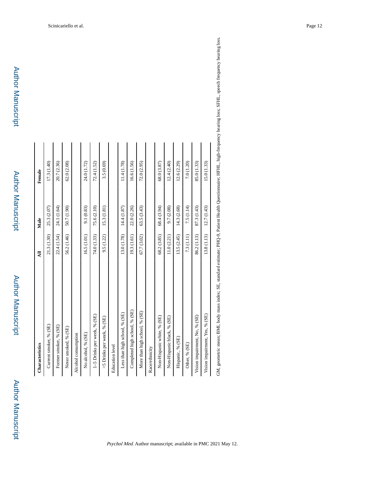Author Manuscript

| Characteristics                | ₹           | Male        | Female      |
|--------------------------------|-------------|-------------|-------------|
| Current smoker, % (SE)         | 21.3 (1.30) | 25.3 (2.07) | 17.3 (1.40) |
| Former smoker, % (SE)          | 22.4 (1.54) | 24.1 (1.64) | 20.7 (2.36) |
| Never smoked, % (SE)           | 56.2 (1.46) | 50.7 (1.90) | 62.0 (2.08) |
| Alcohol consumption            |             |             |             |
| No alcohol, % (SE)             | 16.5 (1.01) | 9.1 (0.83)  | 24.0 (1.72) |
| 1-5 Drinks per week, % (SE)    | 74.0 (1.33) | 75.6 (2.10) | 72.4 (1.52) |
| >5 Drinks per week, % (SE)     | 9.5(1.22)   | 15.3 (1.81) | 3.5 (0.69)  |
| <b>Education</b> level         |             |             |             |
| Less than high school, % (SE)  | 13.0 (1.78) | 14.4 (1.87) | 11.4 (1.78) |
| Completed high school, % (SE)  | 19.3 (1.61) | 22.0 (2.26) | 16.6 (1.56) |
| More than high school, % (SE)  | 67.7 (3.02) | 63.5 (3.43) | 72.0(2.95)  |
| Race/ethnicity                 |             |             |             |
| Non-Hispanic white, % (SE)     | 68.2 (3.85) | 68.4 (3.94) | 68.0 (3.87) |
| Non-Hispanic black, % (SE)     | 11.0 (2.21) | 9.7 (2.08)  | 12.4(2.40)  |
| Hispanic, % (SE)               | 13.5 (2.45) | 14.3 (2.68) | 12.6 (2.29) |
| Other, % (SE)                  | 7.3 (1.11)  | 7.5 (1.14)  | 7.0 (1.20)  |
| Vision impairment, No, % (SE)  | 86.2 (1.13) | 87.3 (1.43) | 85.0 (1.33) |
| Vision impairment, Yes, % (SE) | 13.8 (1.13) | 12.7(1.43)  | 15.0(1.33)  |
|                                |             |             |             |

GM, geometric mean; BMI, body mass index; SE, standard estimate; PHQ-9, Patient Health Questionnaire; HFHL, high-frequency hearing loss; SFHL, speech frequency hearing loss. GM, geometric mean; BMI, body mass index; SE, standard estimate; PHQ-9, Patient Health Questionnaire; HFHL, high-frequency hearing loss; SFHL, speech frequency hearing loss.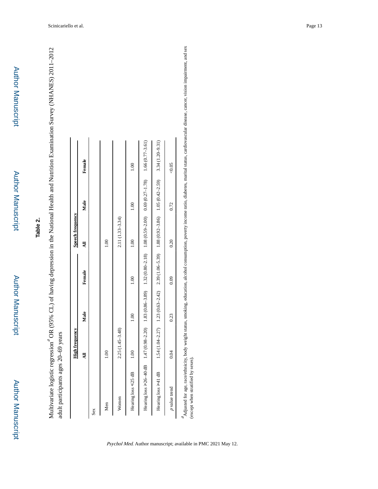Author Manuscript

**Author Manuscript** 

## **Table 2.**

Multivariate logistic regression<sup>4</sup> OR (95% CL) of having depression in the National Health and Nutrition Examination Survey (NHANES) 2011-2012 a OR (95% CL) of having depression in the National Health and Nutrition Examination Survey (NHANES) 2011–2012 adult participants ages 20-69 years adult participants ages 20–69 years Multivariate logistic regression

|                                               | <b>High frequency</b> |                  |                                                                                                | <b>Speech frequency</b> |               |                |
|-----------------------------------------------|-----------------------|------------------|------------------------------------------------------------------------------------------------|-------------------------|---------------|----------------|
|                                               | ₹                     | Male             | Female                                                                                         | 긯                       | Male          | Female         |
| Sex                                           |                       |                  |                                                                                                |                         |               |                |
| Men                                           | 00 <sub>1</sub>       |                  |                                                                                                | $\frac{8}{10}$          |               |                |
| Women                                         | $2.25(1.45-3.48)$     |                  |                                                                                                | 2.11 (1.33-3.34)        |               |                |
| Hearing loss ≤25 dB                           | $\frac{8}{1}$         | $\frac{0}{1.00}$ | $\frac{8}{1}$                                                                                  | $\frac{8}{1}$           | $\frac{8}{1}$ | $\frac{8}{10}$ |
| Hearing loss $\geq 26-40$ dB 1.47 (0.98-2.20) |                       |                  | $1.83$ (0.86–3.89) $1.32$ (0.80–2.18) $1.08$ (0.99–2.00) 0.69 (0.27–1.78) $1.66$ (0.77–3.61)   |                         |               |                |
| Hearing loss >41 dB                           | $1.54(1.04 - 2.27)$   |                  | $1.23$ (0.63-2.42) $2.39$ (1.06-5.39) $1.88$ (0.92-3.86) $1.05$ (0.42-2.59) $3.34$ (1.20-9.31) |                         |               |                |
| p value trend                                 | 0.04                  | 0.23             | 0.09                                                                                           | 0.20                    | 0.72          | 80.05          |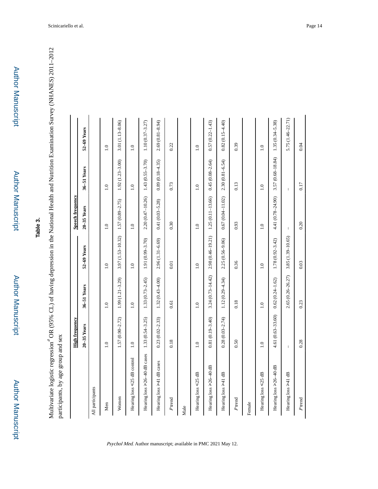Multivariate logistic regression<sup>4</sup> OR (95% CL) of having depression in the National Health and Nutrition Examination Survey (NHANES) 2011-2012 a OR (95% CL) of having depression in the National Health and Nutrition Examination Survey (NHANES) 2011–2012 participants, by age group and sex participants, by age group and sex Multivariate logistic regression

|                              | <b>High frequency</b> |                      |                     | Speech frequency     |                                       |                     |
|------------------------------|-----------------------|----------------------|---------------------|----------------------|---------------------------------------|---------------------|
|                              | $20-35$ Years         | 36-51 Years          | 52-69 Years         | $20-35$ Years        | 36-51 Years                           | 52-69 Years         |
| All participants             |                       |                      |                     |                      |                                       |                     |
| Men                          | $\overline{1.0}$      | $\ddot{=}$           | $\overline{1.0}$    | $\ddot{=}$           | $\ddot{=}$                            | $\overline{1.0}$    |
| Women                        | $1.57(0.90 - 2.72)$   | $1.99(1.21 - 3.29)$  | 3.97 (1.53-10.32)   | $1.57(0.89 - 2.75)$  | $1.92(1.23 - 3.00)$                   | 3.01 (1.13-8.06)    |
| Hearing loss <25 dB control  | $\overline{1.0}$      | $\ddot{0}$           | $\ddot{=}$          | $\ddot{ }$ .0        | $\ddot{1}$ .0                         | $\ddot{1}$ .0       |
| Hearing loss >26-40 dB cases | $1.33(0.54 - 3.25)$   | $1.33(0.73 - 2.45)$  | 1.91 (0.99-3.70)    | $2.20(0.47 - 10.26)$ | $1.43(0.55 - 3.70)$                   | $1.10(0.37 - 3.27)$ |
| Hearing loss >41 dB cases    | $0.23(0.02 - 2.33)$   | $1.32(0.43 - 4.00)$  | $2.96(1.31-6.69)$   | $0.41(0.03 - 5.28)$  | $0.89(0.18 - 4.35)$                   | $2.69(0.81 - 8.94)$ |
| Ptrend                       | 0.18                  | 0.61                 | 0.01                | 0.30                 | 0.73                                  | 0.22                |
| Male                         |                       |                      |                     |                      |                                       |                     |
| Hearing loss <25 dB          | $\ddot{=}$            | $\ddot{ }$ .0        | $\ddot{=}$          | $\ddot{=}$           | $\ddot{=}$                            | $\overline{1.0}$    |
| Hearing loss >26-40 dB       | $0.81(0.19 - 3.40)$   | $3.24(0.73 - 14.42)$ | 2.98 (0.46-19.21)   | $1.25(0.11-13.66)$   | $0.45(0.08 - 2.64)$                   | $0.57(0.22 - 1.43)$ |
| Hearing loss ≥41 dB          | $0.28(0.03 - 2.74)$   | $1.12(0.29 - 4.34)$  | $2.25(0.56 - 9.06)$ | $0.67(0.04 - 11.02)$ | $2.30(0.81 - 6.54)$                   | $0.82(0.15 - 4.40)$ |
| Ptrend                       | 0.50                  | 0.18                 | 0.36                | 0.93                 | 0.13                                  | 0.39                |
| Female                       |                       |                      |                     |                      |                                       |                     |
| Hearing loss <25 dB          | $\overline{1.0}$      | $\ddot{ }$ .0        | 1.0                 | $\ddot{=}$           | $\ddot{0}$                            | $\overline{1.0}$    |
| Hearing loss >26-40 dB       | 4.61 (0.63-33.60)     | $0.62(0.24 - 1.62)$  | 1.78 (0.92-3.42)    | 4.41 (0.78-24.90)    | 3.57 (0.68-18.84)                     | $1.35(0.34 - 5.38)$ |
| Hearing loss ≥41 dB          | $\mathsf I$           | 2.65 (0.26-26.27)    | 3.85 (1.39-10.65)   | $\mathbb I$          | $\begin{array}{c} \hline \end{array}$ | 5.75 (1.46-22.71)   |
| Ptrend                       | 0.28                  | 0.23                 | 0.03                | 0.20                 | 0.17                                  | 0.04                |